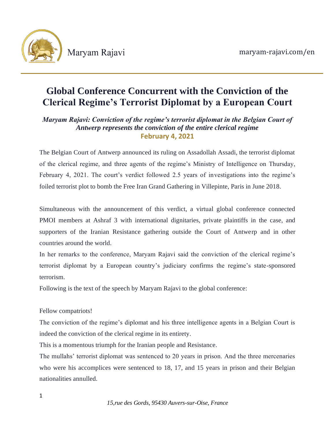

# **Global Conference Concurrent with the Conviction of the Clerical Regime's Terrorist Diplomat by a European Court**

# *Maryam Rajavi: Conviction of the regime's terrorist diplomat in the Belgian Court of Antwerp represents the conviction of the entire clerical regime* **February 4, 2021**

The Belgian Court of Antwerp announced its ruling on Assadollah Assadi, the terrorist diplomat of the clerical regime, and three agents of the regime's Ministry of Intelligence on Thursday, February 4, 2021. The court's verdict followed 2.5 years of investigations into the regime's foiled terrorist plot to bomb the Free Iran Grand Gathering in Villepinte, Paris in June 2018.

Simultaneous with the announcement of this verdict, a virtual global conference connected PMOI members at Ashraf 3 with international dignitaries, private plaintiffs in the case, and supporters of the Iranian Resistance gathering outside the Court of Antwerp and in other countries around the world.

In her remarks to the conference, Maryam Rajavi said the conviction of the clerical regime's terrorist diplomat by a European country's judiciary confirms the regime's state-sponsored terrorism.

Following is the text of the speech by Maryam Rajavi to the global conference:

Fellow compatriots!

The conviction of the regime's diplomat and his three intelligence agents in a Belgian Court is indeed the conviction of the clerical regime in its entirety.

This is a momentous triumph for the Iranian people and Resistance.

The mullahs' terrorist diplomat was sentenced to 20 years in prison. And the three mercenaries who were his accomplices were sentenced to 18, 17, and 15 years in prison and their Belgian nationalities annulled.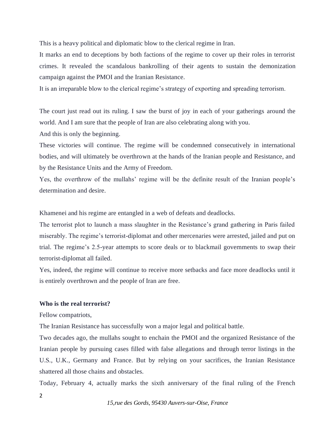This is a heavy political and diplomatic blow to the clerical regime in Iran.

It marks an end to deceptions by both factions of the regime to cover up their roles in terrorist crimes. It revealed the scandalous bankrolling of their agents to sustain the demonization campaign against the PMOI and the Iranian Resistance.

It is an irreparable blow to the clerical regime's strategy of exporting and spreading terrorism.

The court just read out its ruling. I saw the burst of joy in each of your gatherings around the world. And I am sure that the people of Iran are also celebrating along with you.

And this is only the beginning.

These victories will continue. The regime will be condemned consecutively in international bodies, and will ultimately be overthrown at the hands of the Iranian people and Resistance, and by the Resistance Units and the Army of Freedom.

Yes, the overthrow of the mullahs' regime will be the definite result of the Iranian people's determination and desire.

Khamenei and his regime are entangled in a web of defeats and deadlocks.

The terrorist plot to launch a mass slaughter in the Resistance's grand gathering in Paris failed miserably. The regime's terrorist-diplomat and other mercenaries were arrested, jailed and put on trial. The regime's 2.5-year attempts to score deals or to blackmail governments to swap their terrorist-diplomat all failed.

Yes, indeed, the regime will continue to receive more setbacks and face more deadlocks until it is entirely overthrown and the people of Iran are free.

# **Who is the real terrorist?**

Fellow compatriots,

The Iranian Resistance has successfully won a major legal and political battle.

Two decades ago, the mullahs sought to enchain the PMOI and the organized Resistance of the Iranian people by pursuing cases filled with false allegations and through terror listings in the U.S., U.K., Germany and France. But by relying on your sacrifices, the Iranian Resistance shattered all those chains and obstacles.

Today, February 4, actually marks the sixth anniversary of the final ruling of the French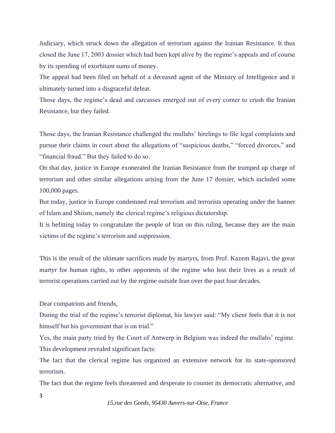Judiciary, which struck down the allegation of terrorism against the Iranian Resistance. It thus closed the June 17, 2003 dossier which had been kept alive by the regime's appeals and of course by its spending of exorbitant sums of money.

The appeal had been filed on behalf of a deceased agent of the Ministry of Intelligence and it ultimately turned into a disgraceful defeat.

Those days, the regime's dead and carcasses emerged out of every corner to crush the Iranian Resistance, but they failed.

Those days, the Iranian Resistance challenged the mullahs' hirelings to file legal complaints and pursue their claims in court about the allegations of "suspicious deaths," "forced divorces," and "financial fraud." But they failed to do so.

On that day, justice in Europe exonerated the Iranian Resistance from the trumped up charge of terrorism and other similar allegations arising from the June 17 dossier, which included some 100,000 pages.

But today, justice in Europe condemned real terrorism and terrorists operating under the banner of Islam and Shiism, namely the clerical regime's religious dictatorship.

It is befitting today to congratulate the people of Iran on this ruling, because they are the main victims of the regime's terrorism and suppression.

This is the result of the ultimate sacrifices made by martyrs, from Prof. Kazem Rajavi, the great martyr for human rights, to other opponents of the regime who lost their lives as a result of terrorist operations carried out by the regime outside Iran over the past four decades.

Dear compatriots and friends,

During the trial of the regime's terrorist diplomat, his lawyer said: "My client feels that it is not himself but his government that is on trial."

Yes, the main party tried by the Court of Antwerp in Belgium was indeed the mullahs' regime. This development revealed significant facts:

The fact that the clerical regime has organized an extensive network for its state-sponsored terrorism.

The fact that the regime feels threatened and desperate to counter its democratic alternative, and

3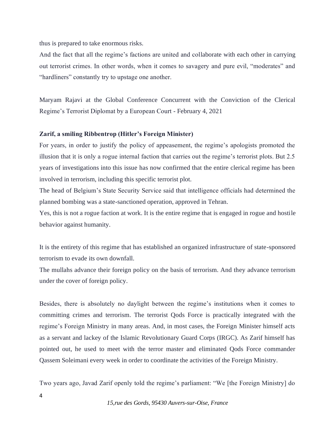thus is prepared to take enormous risks.

And the fact that all the regime's factions are united and collaborate with each other in carrying out terrorist crimes. In other words, when it comes to savagery and pure evil, "moderates" and "hardliners" constantly try to upstage one another.

Maryam Rajavi at the Global Conference Concurrent with the Conviction of the Clerical Regime's Terrorist Diplomat by a European Court - February 4, 2021

## **Zarif, a smiling Ribbentrop (Hitler's Foreign Minister)**

For years, in order to justify the policy of appeasement, the regime's apologists promoted the illusion that it is only a rogue internal faction that carries out the regime's terrorist plots. But 2.5 years of investigations into this issue has now confirmed that the entire clerical regime has been involved in terrorism, including this specific terrorist plot.

The head of Belgium's State Security Service said that intelligence officials had determined the planned bombing was a state-sanctioned operation, approved in Tehran.

Yes, this is not a rogue faction at work. It is the entire regime that is engaged in rogue and hostile behavior against humanity.

It is the entirety of this regime that has established an organized infrastructure of state-sponsored terrorism to evade its own downfall.

The mullahs advance their foreign policy on the basis of terrorism. And they advance terrorism under the cover of foreign policy.

Besides, there is absolutely no daylight between the regime's institutions when it comes to committing crimes and terrorism. The terrorist Qods Force is practically integrated with the regime's Foreign Ministry in many areas. And, in most cases, the Foreign Minister himself acts as a servant and lackey of the Islamic Revolutionary Guard Corps (IRGC). As Zarif himself has pointed out, he used to meet with the terror master and eliminated Qods Force commander Qassem Soleimani every week in order to coordinate the activities of the Foreign Ministry.

Two years ago, Javad Zarif openly told the regime's parliament: "We [the Foreign Ministry] do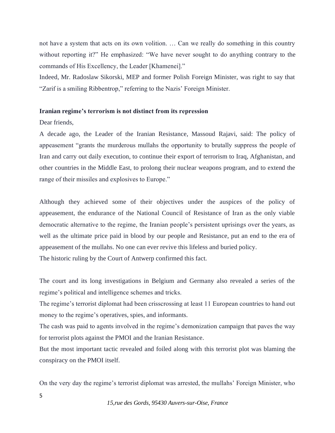not have a system that acts on its own volition. … Can we really do something in this country without reporting it?" He emphasized: "We have never sought to do anything contrary to the commands of His Excellency, the Leader [Khamenei]."

Indeed, Mr. Radoslaw Sikorski, MEP and former Polish Foreign Minister, was right to say that "Zarif is a smiling Ribbentrop," referring to the Nazis' Foreign Minister.

#### **Iranian regime's terrorism is not distinct from its repression**

Dear friends,

A decade ago, the Leader of the Iranian Resistance, Massoud Rajavi, said: The policy of appeasement "grants the murderous mullahs the opportunity to brutally suppress the people of Iran and carry out daily execution, to continue their export of terrorism to Iraq, Afghanistan, and other countries in the Middle East, to prolong their nuclear weapons program, and to extend the range of their missiles and explosives to Europe."

Although they achieved some of their objectives under the auspices of the policy of appeasement, the endurance of the National Council of Resistance of Iran as the only viable democratic alternative to the regime, the Iranian people's persistent uprisings over the years, as well as the ultimate price paid in blood by our people and Resistance, put an end to the era of appeasement of the mullahs. No one can ever revive this lifeless and buried policy.

The historic ruling by the Court of Antwerp confirmed this fact.

The court and its long investigations in Belgium and Germany also revealed a series of the regime's political and intelligence schemes and tricks.

The regime's terrorist diplomat had been crisscrossing at least 11 European countries to hand out money to the regime's operatives, spies, and informants.

The cash was paid to agents involved in the regime's demonization campaign that paves the way for terrorist plots against the PMOI and the Iranian Resistance.

But the most important tactic revealed and foiled along with this terrorist plot was blaming the conspiracy on the PMOI itself.

On the very day the regime's terrorist diplomat was arrested, the mullahs' Foreign Minister, who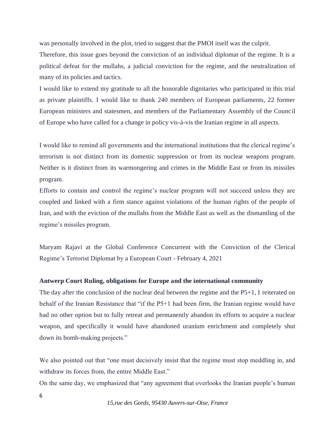was personally involved in the plot, tried to suggest that the PMOI itself was the culprit.

Therefore, this issue goes beyond the conviction of an individual diplomat of the regime. It is a political defeat for the mullahs, a judicial conviction for the regime, and the neutralization of many of its policies and tactics.

I would like to extend my gratitude to all the honorable dignitaries who participated in this trial as private plaintiffs. I would like to thank 240 members of European parliaments, 22 former European ministers and statesmen, and members of the Parliamentary Assembly of the Council of Europe who have called for a change in policy vis-à-vis the Iranian regime in all aspects.

I would like to remind all governments and the international institutions that the clerical regime's terrorism is not distinct from its domestic suppression or from its nuclear weapons program. Neither is it distinct from its warmongering and crimes in the Middle East or from its missiles program.

Efforts to contain and control the regime's nuclear program will not succeed unless they are coupled and linked with a firm stance against violations of the human rights of the people of Iran, and with the eviction of the mullahs from the Middle East as well as the dismantling of the regime's missiles program.

Maryam Rajavi at the Global Conference Concurrent with the Conviction of the Clerical Regime's Terrorist Diplomat by a European Court - February 4, 2021

#### **Antwerp Court Ruling, obligations for Europe and the international community**

The day after the conclusion of the nuclear deal between the regime and the P5+1, I reiterated on behalf of the Iranian Resistance that "if the P5+1 had been firm, the Iranian regime would have had no other option but to fully retreat and permanently abandon its efforts to acquire a nuclear weapon, and specifically it would have abandoned uranium enrichment and completely shut down its bomb-making projects."

We also pointed out that "one must decisively insist that the regime must stop meddling in, and withdraw its forces from, the entire Middle East."

On the same day, we emphasized that "any agreement that overlooks the Iranian people's human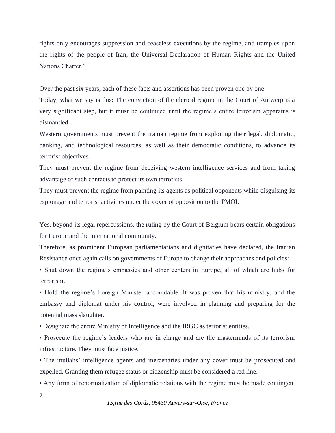rights only encourages suppression and ceaseless executions by the regime, and tramples upon the rights of the people of Iran, the Universal Declaration of Human Rights and the United Nations Charter."

Over the past six years, each of these facts and assertions has been proven one by one.

Today, what we say is this: The conviction of the clerical regime in the Court of Antwerp is a very significant step, but it must be continued until the regime's entire terrorism apparatus is dismantled.

Western governments must prevent the Iranian regime from exploiting their legal, diplomatic, banking, and technological resources, as well as their democratic conditions, to advance its terrorist objectives.

They must prevent the regime from deceiving western intelligence services and from taking advantage of such contacts to protect its own terrorists.

They must prevent the regime from painting its agents as political opponents while disguising its espionage and terrorist activities under the cover of opposition to the PMOI.

Yes, beyond its legal repercussions, the ruling by the Court of Belgium bears certain obligations for Europe and the international community.

Therefore, as prominent European parliamentarians and dignitaries have declared, the Iranian Resistance once again calls on governments of Europe to change their approaches and policies:

• Shut down the regime's embassies and other centers in Europe, all of which are hubs for terrorism.

• Hold the regime's Foreign Minister accountable. It was proven that his ministry, and the embassy and diplomat under his control, were involved in planning and preparing for the potential mass slaughter.

• Designate the entire Ministry of Intelligence and the IRGC as terrorist entities.

• Prosecute the regime's leaders who are in charge and are the masterminds of its terrorism infrastructure. They must face justice.

• The mullahs' intelligence agents and mercenaries under any cover must be prosecuted and expelled. Granting them refugee status or citizenship must be considered a red line.

• Any form of renormalization of diplomatic relations with the regime must be made contingent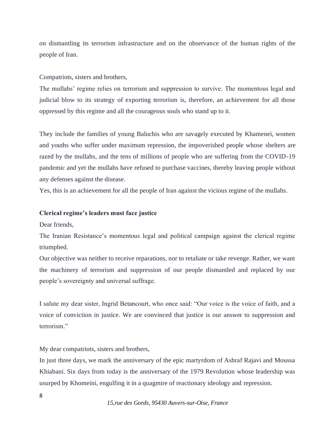on dismantling its terrorism infrastructure and on the observance of the human rights of the people of Iran.

Compatriots, sisters and brothers,

The mullahs' regime relies on terrorism and suppression to survive. The momentous legal and judicial blow to its strategy of exporting terrorism is, therefore, an achievement for all those oppressed by this regime and all the courageous souls who stand up to it.

They include the families of young Baluchis who are savagely executed by Khamenei, women and youths who suffer under maximum repression, the impoverished people whose shelters are razed by the mullahs, and the tens of millions of people who are suffering from the COVID-19 pandemic and yet the mullahs have refused to purchase vaccines, thereby leaving people without any defenses against the disease.

Yes, this is an achievement for all the people of Iran against the vicious regime of the mullahs.

### **Clerical regime's leaders must face justice**

Dear friends,

The Iranian Resistance's momentous legal and political campaign against the clerical regime triumphed.

Our objective was neither to receive reparations, nor to retaliate or take revenge. Rather, we want the machinery of terrorism and suppression of our people dismantled and replaced by our people's sovereignty and universal suffrage.

I salute my dear sister, Ingrid Betancourt, who once said: "Our voice is the voice of faith, and a voice of conviction in justice. We are convinced that justice is our answer to suppression and terrorism."

My dear compatriots, sisters and brothers,

In just three days, we mark the anniversary of the epic martyrdom of Ashraf Rajavi and Moussa Khiabani. Six days from today is the anniversary of the 1979 Revolution whose leadership was usurped by Khomeini, engulfing it in a quagmire of reactionary ideology and repression.